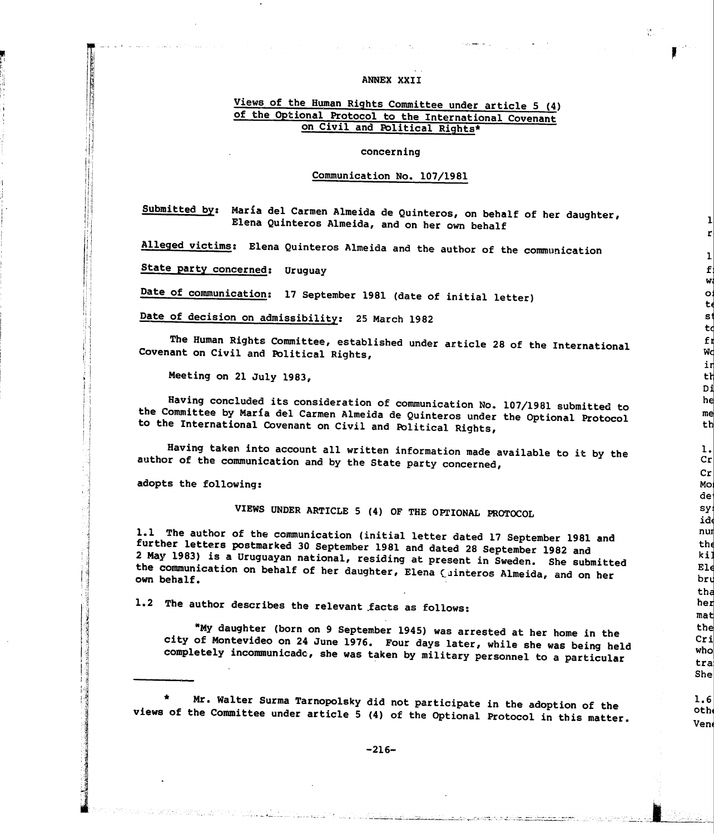#### **ANNEX XXII**

# Views of the Human Rights Committee under article 5 (4) of the Optional Protocol to the International Covenant on Civil and Political Rights·

### concerning

## Communication No. 107/1981

Submitted by: Maria del Carmen Almeida de Quinteros, on behalf of her daughter, Elena Quinteros Almeida, and on her own behalf

Alleged victims: Elena Quinteros Almeida and the author of the communication

State party concerned: Uruguay

Date of communication: 17 september 1981 (date of initial letter)

Date of decision on admissibility: 25 March 1982

The Human Rights Committee, established under article 28 of the International Covenant on Civil and Political Rights,

Meeting on 21 July 1983,

Having concluded its consideration of communication No. 107/1981 submitted to the Committee by Marfa del Carmen Almeida de Quinteros under the Optional Protocol to the International Covenant on Civil and Political Rights,

Having taken into account all written information made available to it by the author of the communication and by the State party concerned,

adopts the following:

VIEWS UNDER ARTICLE 5 (4) OF THE OPrIONAL PROTOCOL

1.1 The author of the communication (initial letter dated 17 September 1981 and further letters postmarked 30 September 1981 and dated 28 September 1982 and 2 May 1983) is a Uruguayan national, residing at present in Sweden. She submitted the communication on behalf of her daughter, Elena ( uinteros Almeida, and on her own behalf.

1.2 The author describes the relevant .facts as follows:

"My daughter (born on 9 September 1945) was arrested at her home in the city of Montevideo on 24 June 1976. Four days later, while she was being held completely incommunicado, she was taken by military personnel to a particular

Mr. Walter Surma Tarnopolsky did not participate in the adoption of the views of the Committee under article 5 (4) of the Optional Protocol in this matter.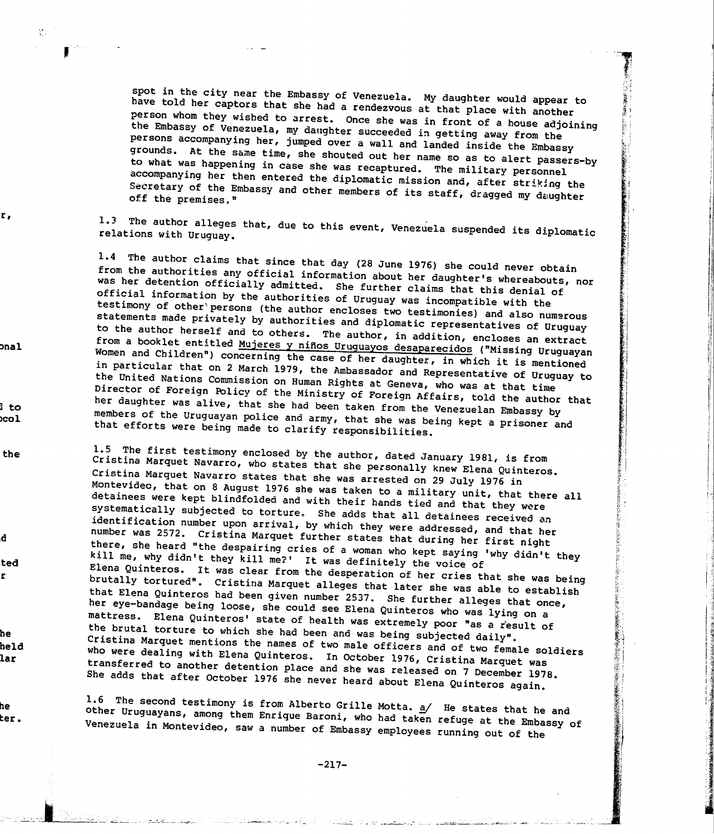spot in the city near the Embassy of Venezuela. My daughter would appear to have told her captors that she had a rendezvous at that place with another person whom they wished to arrest. Once she was in front of <sup>a</sup> house adjoining the Embassy of Venezuela, my daughter succeeded in getting away from the persons accompanying her, jumped over <sup>a</sup> wall and landed inside the Embassy grounds. At the same time, she shouted out her name so as to alert passers-by to what was happening in case she was recaptured. The military personnel accompanying her then entered the diplomatic mission and, after striking the Secretary of the Embassy and other members of its staff, dragged my daughter off the premises."

1.3 The author alleges that, due to this event, Venezuela suspended its diplomatic relations with Uruguay.

1.4 The author claims that since that day (28 June 1976) she could never obtain from the authorities any official information about her daughter's whereabouts, nor was her detention officially admitted. She further claims that this denial of official information by the authorities of Uruguay was incompatible with the testimony of other\persons (the author encloses two testimonies) and also numerous statements made privately by authorities and diplomatic representatives of Uruguay to the author herself and to others. The author, in addition, encloses an extract from a booklet entitled Mujeres y niños Uruguayos desaparecidos ("Missing Uruguayan Women and Children") concerning the case of her daughter, in which it is mentioned in particular that on <sup>2</sup> March 1979, the Ambassador and Representative of Uruguay to Director of Foreign Policy of the Ministry of Foreign Affairs, told the author that the United Nations Commission on Human Rights at Geneva, who was at that time her daughter was alive, that she had been taken from the Venezuelan Embassy by members of the Uruguayan police and army, that she was being kept <sup>a</sup> prisoner and that efforts were being made to clarify responsibilities.

Cristina Marquet Navarro, who states that she personally knew Elena Quinteros. 1.5 The first testimony enclosed by the author, dated January 1981, is from Montevideo, that on <sup>8</sup> August <sup>1976</sup> she was taken to <sup>a</sup> military unit, that there all Cristina Marquet Navarro states that she was arrested on <sup>29</sup> July <sup>1976</sup> in detainees were kept blindfolded and with their hands tied and that they were systematically subjected to torture. She adds that all detainees received an identification number upon arrival, by which they were addressed, and that her number was 2572. Cristina Marquet further states that during her first night there, she heard "the despairing cries of <sup>a</sup> woman who kept saying 'why didn't they kill me, why didn't they kill me?' It was definitely the voice of Elena Quinteros. It was clear from the desperation of her cries that she was being brutally tortured". Cristina Marquet alleges that later she was able to establish that Elena Quinteros had been <sup>g</sup>iven number 2537. She further alleges that once, mattress. Elena Quinteros' state of health was extremely poor "as <sup>a</sup> result of her eye-bandage being loose, she could see Elena Quinteros who was lying on <sup>a</sup> the brutal torture to which she had been and was being subjected daily". Cristina Marquet mentions the names of two male officers and of two female soldiers who were dealing with Elena Quinteros. In October 1976, Cristina Marquet was transferred to another detention place and she was released on 7 December 1978. She adds that after October <sup>1976</sup> she never heard about Elena Quinteros again.

1.6 The second testimony is from Alberto Grille Motta. a/ He states that he and other Uruguayans, among them Enrique Baroni, who had taken refuge at the Embassy of Venezuela in Montevideo, saw <sup>a</sup> number of Embassy employees running out of the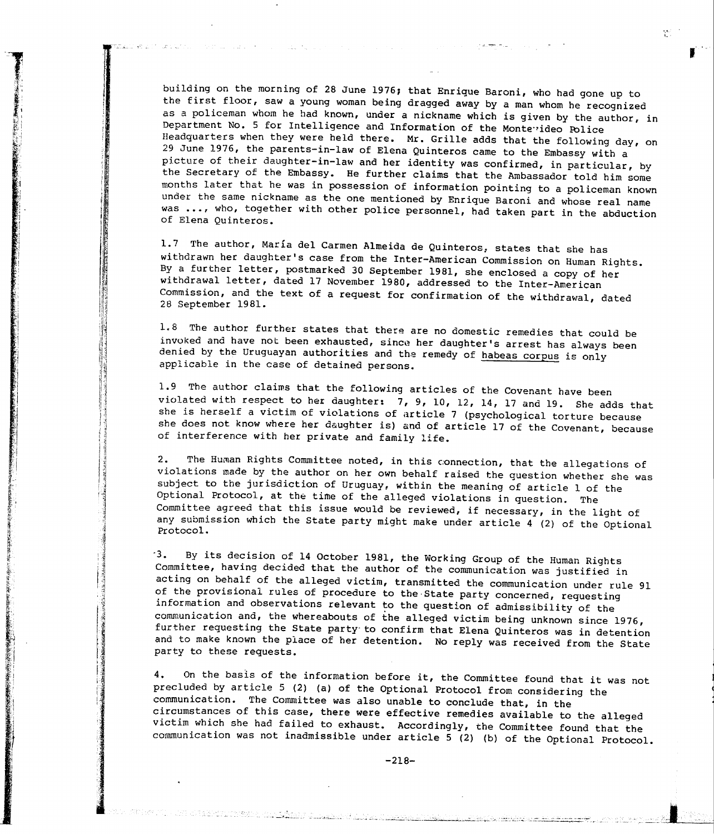building on the morning of 28 June 1976; that Enrique Baroni, who had gone up to the first floor, saw a young woman being dragged away by a man whom he recognized as a policeman whom he had known, under a nickname which is given by the author, in Department No. 5 for Intelligence and Information of the Monte ideo Police Headquarters when they were held there. Mr. Grille adds that the following day, on 29 June 1976, the parents-in-law of Elena Quinteros came to the Embassy with a picture of their daughter-in-law and her identity was confirmed, in particular, by the Secretary of the Embassy. He further claims that the Ambassador told him some months later that he was in possession of information pointing to a policeman known under the same nickname as the one mentioned by Enrique Baroni and whose real name was ..., who, together with other police personnel, had taken part in the abduction of Elena Quinteros.

 $\frac{1}{2}$  .

1.7 The author, María del Carmen Almeida de Quinteros, states that she has withdrawn her daughter's case from the Inter-American Commission on Human Rights. By a further letter, postmarked 30 September 1981, she enclosed a copy of her withdrawal letter, dated 17 November 1980, addressed to the Inter-American Commission, and the text of a request for confirmation of the withdrawal, dated 28 September 1981.

1.8 The author further states that there are no domestic remedies that could be invoked and have not been exhausted, since her daughter's arrest has always been denied by the Uruguayan authorities and the remedy of habeas corpus is only applicable in the case of detained persons.

1.9 The author claims that the following articles of the Covenant have been violated with respect to her daughter: 7, 9, 10, 12, 14, 17 and 19. She adds that she is herself a victim of violations of article 7 (psychological torture because she does not know where her daughter is) and of article 17 of the Covenant, because of interference with her private and family life.

2. The Human Rights Committee noted, in this connection, that the allegations of violations made by the author on her own behalf raised the question whether she was subject to the jurisdiction of Uruguay, within the meaning of article 1 of the Optional Protocol, at the time of the alleged violations in question. The Committee agreed that this issue would be reviewed, if necessary, in the light of any submission which the State party might make under article 4 (2) of the Optional Protocol.

-3. By its decision of <sup>14</sup> October 1981, the Working Group of the Human Rights Committee, having decided that the author of the communication was justified in acting on behalf of the alleged victim, transmitted the communication under rule 91 of the provisional rules of procedure to the-State party concerned, requesting information and observations relevant to the question of admissibility of the communication and, the whereabouts of the alleged victim being unknown since 1976, further requesting the State party- to confirm that Elena Quinteros was in detention and to make known the place of her detention. No reply was received from the State party to these requests.

4. On the basis of the information before it, the Committee found that it was not precluded by article 5 (2) (a) of the Optional Protocol from considering the communication. The Committee was also unable to conclude that, in the circumstances of this case, there were effective remedies available to the alleged victim which she had failed to exhaust. Accordingly, the Committee found that the communication was not inadmissible under article 5 (2) (b) of the Optional Protocol.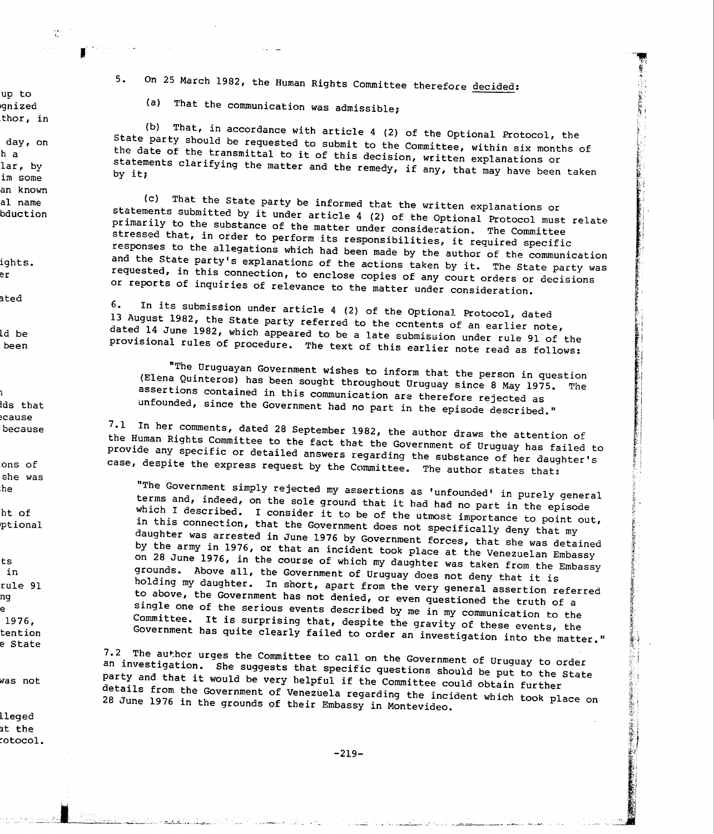5. On 25 March 1982, the Human Rights Committee therefore decided:

(a) That the communication was admissible;

(b) That, in accordance with article <sup>4</sup> (2) of the Optional Protocol, the State party should be requested to submit to the Committee, within six months of the date of the transmittal to it of this decision, written explanations or statements clarifying the matter and the remedy, if any, that may have been taken<br>by it;

(c) That the State party be informed that the written explanations or statements submitted by it under article <sup>4</sup> (2) of the Optional Protocol must relate primarily to the substance of the matter under consideration. The Committee stressed that, in order to perform its responsibilities, it required specific responses to the allegations which had been made by the author of the communication and the State party's explanations of the actions taken by it. The State party was requested, in this connection, to enclose copies of any court orders or decisions or reports of inquiries of relevance to the matter under consideration.

6. In its submission under article <sup>4</sup> (2) of the Optional Protocol, dated <sup>13</sup> August 1982, the state party referred to the ccntents of an earlier note, dated  $14$  June 1982, which appeared to be a late submission under rule 91 of the provisional rules of procedure. The text of this earlier note read as follows:

"The Uruguayan Government wishes to inform that the person in question (Elena Quinteros) has been sought throughout Uruguay since <sup>8</sup> May 1975. The assertions contained in this communication are therefore rejected as unfounded, since the Government had no part in the episode described."

7.1 In her comments, dated <sup>28</sup> September 1982, the author draws the attention of the Human Rights Committee to the fact that the Government of Uruguay has failed to provide any specific or detailed answers regarding the substance of her daughter's case, despite the express request by the Committee. The author states that:

"The Government simply rejected my assertions as 'unfounded' in purely general terms and, indeed, on the sole ground that it had had no part in the episode which I described. I consider it to be of the utmost importance to point out, in this connection, that the Government does not specifically deny that my daughter was arrested in June <sup>1976</sup> by Government forces, that she was detained by the army in 1976, or that an incident took <sup>p</sup>lace at the Venezuelan Embassy on 28 June 1976, in the course of which my daughter was taken from the Embassy grounds. Above all, the Government of Uruguay does not deny that it is holding my daughter. In short, apart from the very general assertion referred to above, the Government has not denied, or even questioned the truth of <sup>a</sup> single one of the serious events described by me in my communication to the Committee. It is surprising that, despite the gravity of these events, the Government has quite clearly failed to order an investigation into the matter."

7.2 The author urges the Committee to call on the Government of Uruguay to order an investigation. She suggests that specific questions should be put to the State party and that it would be very helpful if the Committee could obtain further details from the Government of Venezuela regarding the incident which took <sup>p</sup>lace on <sup>28</sup> June <sup>1976</sup> in the grounds of their Embassy in Montevideo.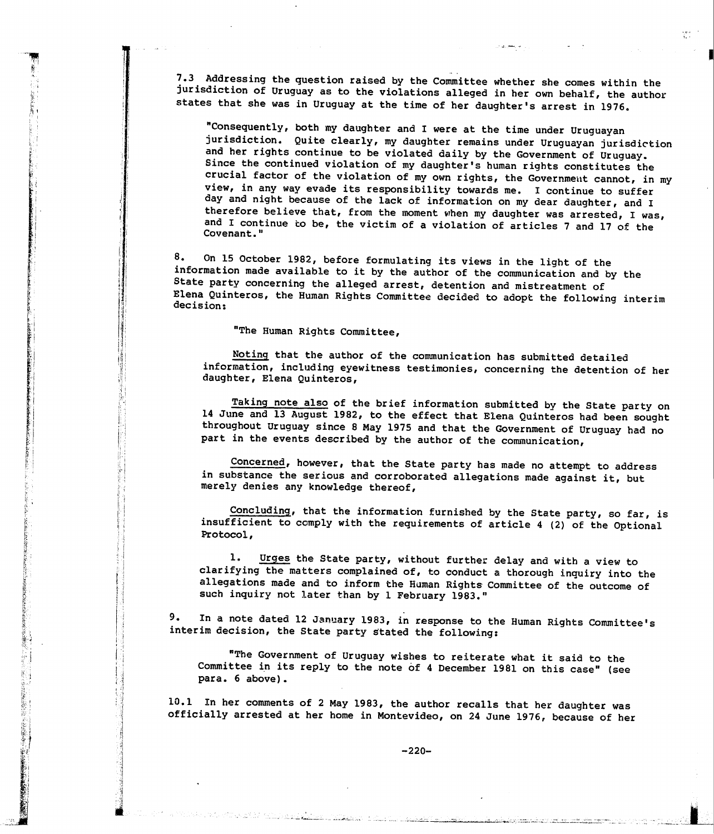7.3 Addressing the question raised by the Committee whether she comes within the jurisdiction of Uruguay as to the violations alleged in her own behalf, the author states that she was in Uruguay at the time of her daughter's arrest in 1976.

"Consequently, both my daughter and I were at the time under Uruguayan jurisdiction. Quite clearly, my daughter remains under Uruguayan jurisdiction and her rights continue to be violated daily by the Government of Uruguay. Since the continued violation of my daughter's human rights constitutes the crucial factor of the violation of my own rights, the Government cannot, in my view, in any way evade its responsibility towards me. I continue to suffer day and night because of the lack of information on my dear daughter, and I therefore believe that, from the moment when my daughter was arrested, I was, and I continue to be, the victim of a violation of articles 7 and 17 of the Covenant."

8. On 15 October 1982, before formulating its views in the light of the information made available to it by the author of the communication and by the State party concerning the alleged arrest, detention and mistreatment of Elena Quinteros, the Human Rights Committee decided to adopt the following interim decision:

"The Human Rights Committee,

Noting that the author of the communication has submitted detailed information, including eyewitness testimonies, concerning the detention of her daughter, Elena Quinteros,

Taking note also of the brief information submitted by the State party on 14 June and 13 August 1982, to the effect that E1ena Quinteros had been sought throughout Uruguay since 8 May 1975 and that the Government of Uruguay had no part in the events described by the author of the communication,

Concerned, however, that the State party has made no attempt to address in substance the serious and corroborated allegations made against it, but merely denies any knowledge thereof,

Concluding, that the information furnished by the State party, so far, is insufficient to comply with the requirements of article 4 (2) of the Optional Protocol,

1. Urges the State party, without further delay and with a view to clarifying the matters complained of, to conduct a thorough inquiry into the allegations made and to inform the Human Rights Committee of the outcome of such inquiry not later than by <sup>1</sup> February 1983."

9. In a note dated 12 January 1983, in response to the Human Rights Committee's interim decision, the State party stated the following:

"The Government of Uruguay wishes to reiterate what it said to the Committee in its reply to the note of 4 December 1981 on this case" (see para. 6 above).

10.1 In her comments of 2 May 1983, the author recalls that her daughter was officially arrested at her home in Montevideo, on 24 June 1976, because of her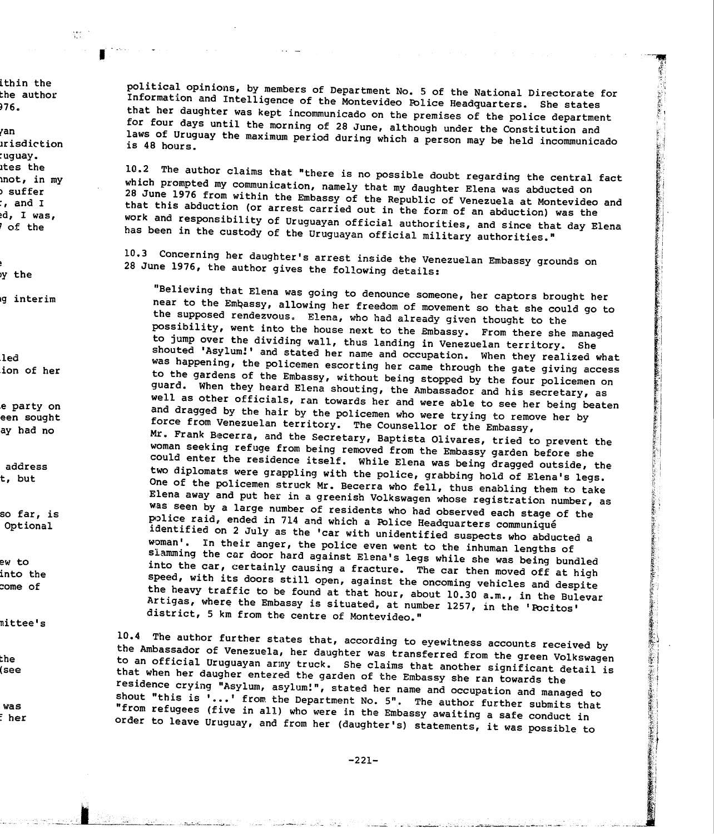political opinions, by members of Department No. 5 of the National Directorate for Information and Intelligence of the Montevideo POlice Headquarters. She states that her daughter was kept incommunicado on the premises of the police department for four days until the morning of <sup>28</sup> June, although under the Constitution and laws of Uruguay the maximum period during which a person may be held incommunicado is 48 hours.

10.2 The author claims that "there is no possible doubt regarding the central fact which prompted my communication, namely that my daughter Elena was abducted on 28 that that this abduction (or arrest carried out in the form of an abduction) was the work and responsibility of Uruguayan official authorities, and since that day Elena has been in the custody of the Uruguayan official military authorities."

10.3 Concerning her daughter's arrest inside the Venezuelan Embassy grounds on <sup>28</sup> June 1976, the author <sup>g</sup>ives the following details:

"Believing that Elena was going to denounce someone, her captors brought her near to the Embassy, allowing her freedom of movement so that she could go to the supposed rendezvous. Elena, who had already <sup>g</sup>iven thought to the possibility, went into the house next to the Embassy. From there she managed to jump over the dividing wall, thus landing in Venezuelan territory. She shouted 'Asylum!' and stated her name and occupation. When they realized what was happening, the policemen escorting her came through the gate <sup>g</sup>iving access to the gardens of the Embassy, without being stopped by the four policemen on guard. When they heard Elena shouting, the Ambassador and his secretary, as well as other officials, ran towards her and were able to see her being beaten and dragged by the hair by the policemen who were trying to remove her by force from Venezuelan territory. The Counsellor of the Embassy, Mr. Frank Becerra, and the Secretary, Baptista Olivares, tried to prevent the woman seeking refuge from being removed from the Embassy garden before she could enter the residence itself. While Elena was being dragged outside, the two diplomats were grappling with the police, grabbing hold of Elena's legs. One of the policemen struck Mr. Becerra who fell, thus enabling them to take Elena away and put her in <sup>a</sup> greenish Volkswagen whose registration number, as was seen by a large number of residents who had observed each stage of the p)lice raid, ended in <sup>714</sup> and which <sup>a</sup> POlice Headquarters communique identified on 2 July as the 'car with unidentified suspects who abducted a woman'. In their anger, the police even went to the inhuman lengths of slamming the car door hard against Elena's legs while she was being bundled into the car, certainly causing <sup>a</sup> fracture. The car then moved off at high speed, with its doors still open, against the oncoming vehicles and despite Artigas, where the Embassy is situated, at number 1257, in the 'Pocitos' the heavy traffic to be found at that hour, about 10.30 a.m., in the Bulevar district, 5 km from the centre of Montevideo."

10.4 The author further states that, according to eyewitness accounts received by the Ambassador of Venezuela, her daughter was transferred from the green Volkswagen to an official Uruguayan army truck. She claims that another significant detail is that when her daugher entered the garden of the Embassy she ran towards the residence crying "Asylum, asylum:", stated her name and occupation and managed to shout "this is **<sup>1</sup> ••• <sup>1</sup>** from the Department No. 5". The author further submits that "from refugees (five in all) who were in the Embassy awaiting <sup>a</sup> safe conduct in order to leave Uruguay, and from her (daughter's) statements, it was possible to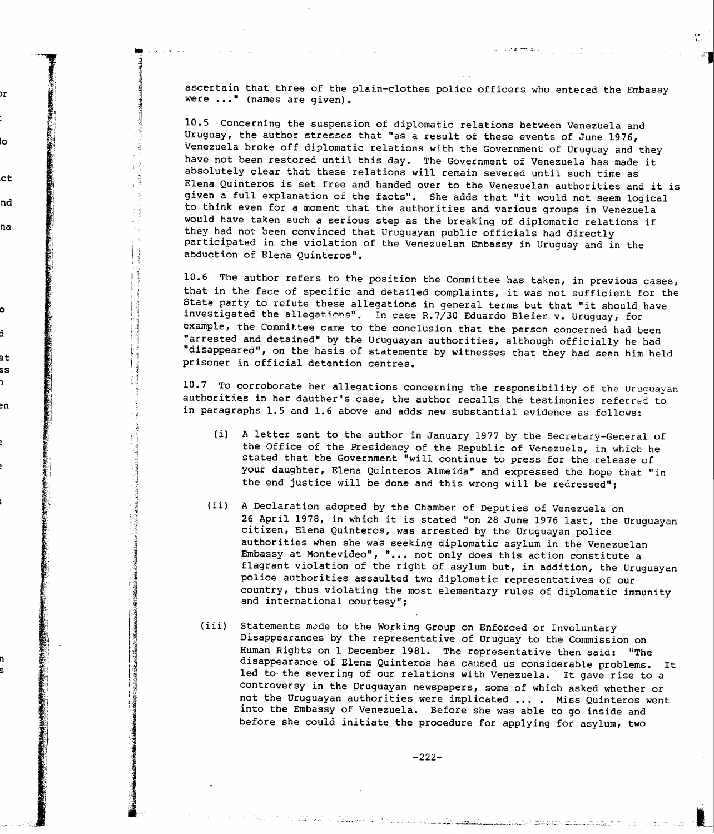ascertain that three of the plain-clothes police officers who entered the Embassy were ..." (names are given).

10.5 Concerning the suspension of diplomatic relations between Venezuela and Uruguay, the author stresses that "as a result of these events of June 1976, Venezuela broke off diplomatic relations with the Government of Uruguay and they have not been restored until this day. The Government of Venezuela has made it absolutely clear that tbese relations will remain severed until such time as Elena Quinteros is set free and handed over to the Venezuelan authorities and it is given a full explanation of the facts". She adds that "it would not seem logical to think even for a moment that the authorities and various groups in Venezuela would have taken such <sup>a</sup> serious step as the breaking of diplomatic relations if they had not been convinced that Uruguayan public officials had directly participated in the violation of the Venezuelan Embassy in Uruguay and in the abduction of Elena Quinteros"

10.6 The author refers to the position the Committee has taken, in previous cases, that in the face of specific and detailed complaints, it was not sufficient for the State party to refute these allegations in general terms but that "it should have investigated the allegations". In case R.7/30 Eduardo Bleier v. Uruguay, for example, the Committee came to the conclusion that the person concerned had been "arrested and detained" by the Uruguayan authorities, although officially he had "disappeared", on the basis of statements by witnesses that they had seen him held prisoner in official detention centres.

10.7 To corroborate her allegations concerning the responsibility of the Uruguayan authorities in her dauther's case, the author recalls the testimonies referred to in paragraphs 1.5 and 1.6 above and adds new substantial evidence as follows:

- (i) A letter sent to the author in January 1977 by the Secretary-General of the Office of the Presidency of the Republic of Venezuela, in which he stated that the Government "will continue to press for the release of your daughter, Elena Quinteros Almeida" and expressed the hope that "in the end justice will be done and this wrong will be redressed";
- (ii) A Declaration adopted by the Chamber of Deputies of Venezuela on 26 April 1978, in which it is stated "on 28 June 1976 last, the Uruguayan citizen, Elena Quinteros, was arrested by the Uruguayan police authorities when she was seeking diplomatic asylum in the Venezuelan Embassy at Montevideo", "... not only does this action constitute a flagrant violation of the right of asylum but, in addition, the Uruguayan police authorities assaulted two diplomatic representatives of our country, thus violating the most elementary rules of diplomatic immunity and international courtesy";
- (iii) Statements made to the Working Group on Enforced or Involuntary Disappearances by the representative of Uruguay to the Commission on Human Rights on 1 December 1981. The representative then said: "The disappearance of Elena Quinteros has caused us considerable problems. It Led to the severing of our relations with Venezuela. It gave rise to a controversy in the Uruguayan newspapers, some of which asked whether or not the Uruguayan authorities were implicated .... Miss Quinteros went into the Embassy of Venezuela. Before she was able to go inside and before she could initiate the procedure for applying for asylum, two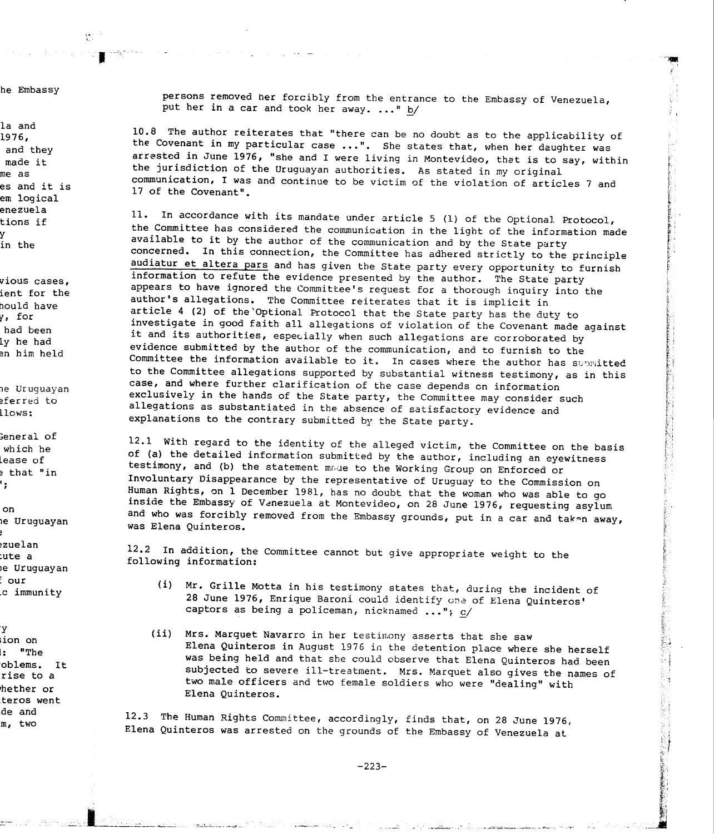persons removed her forcibly from the entrance to the Embassy of Venezuela, put her in a car and took her away. ... " b/

10.8 The author reiterates that "there can be no doubt as to the applicability of the Covenant in my particular case ...". She states that, when her daughter was arrested in June 1976, "she and I were living in Montevideo, that is to say, within the jurisdiction of the Uruguayan authorities. As stated in my original communication, I was and continue to be victim of the violation of articles 7 and 17 of the Covenant".

11. In accordance with its mandate under article <sup>5</sup> (1) of the Optional Protocol, the Committee has considered the communication in the light of the information made available to it by the author of the communication and by the State party concerned. In this connection, the Committee has adhered strictly to the principle audiatur et altera pars and has given the State party every opportunity to furnish information to refute the evidence presented by the author. The State party appears to have ignored the Committee's request for a thorough inquiry into the author's allegations. The Committee reiterates that it is implicit in article 4 (2) of the'Optional Protocol that the State party has the duty to investigate in good faith all allegations of violation of the Covenant made against it and its authorities, especially when such allegations are corroborated by evidence submitted by the author of the communication, and to furnish to the Committee the information available to it. In cases where the author has submitted to the Committee allegations supported by substantial witness testimony, as in this case, and where further clarification of the case depends cn information exclusively in the hands of the State party, the Committee may consider such allegations as substantiated in the absence of satisfactory evidence and explanations to the contrary submitted by the State party.

12.1 with regard to the identity of the alleged victim, the Committee on the basis of (a) the detailed information submitted by the author, including an eyewitness testimony, and (b) the statement made to the Working Group on Enforced or Involuntary Disappearance by the representative of Uruguay to the Commission on Human Rights, on 1 December 1981, has no doubt that the woman who was able to go inside the Embassy of Venezuela at Montevideo, on 28 June 1976, requesting asylum and who was forcibly removed from the Embassy grounds, put in a car and taken away, was Elena Quinteros.

12.2 In addition, the Committee cannot but give appropriate weight to the following information:

- (i) Mr. Grille Motta in his testimony states that, during the incident of 28 June 1976, Enrique Baroni could identify one of Elena Quinteros' captors as being a policeman, nicknamed  $\ldots$ "; c/
- (ii) Mrs. Marquet Navarro in her testimony asserts that she saw Elena Quinteros in August 1976 in the detention place where she herself was being held and that she could observe that Elena Quinteros had been subjected to severe ill-treatment. Mrs. Marquet also gives the names of two male officers and two female soldiers who were "dealing" with Elena Quinteros.

12.3 The Human Rights Committee, accordingly, finds that, on 28 June 1976, Elena Quinteros was arrested on the grounds of the Embassy of Venezuela at